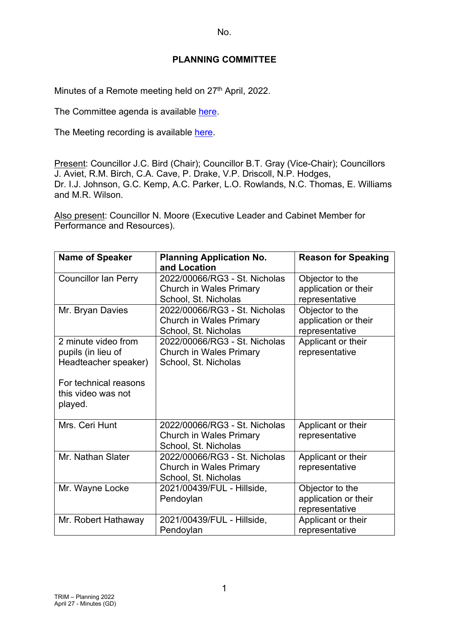## **PLANNING COMMITTEE**

Minutes of a Remote meeting held on 27<sup>th</sup> April, 2022.

The Committee agenda is available [here.](https://www.valeofglamorgan.gov.uk/en/our_council/Council-Structure/minutes,_agendas_and_reports/agendas/planning/2022/22-04-27.aspx)

The Meeting recording is available [here.](https://www.youtube.com/watch?v=GAToDHFVq0U&list=PLzt4i14pgqIEYTpGwpnqhxqyIIskR95ke&index=1&t=2805s)

Present: Councillor J.C. Bird (Chair); Councillor B.T. Gray (Vice-Chair); Councillors J. Aviet, R.M. Birch, C.A. Cave, P. Drake, V.P. Driscoll, N.P. Hodges, Dr. I.J. Johnson, G.C. Kemp, A.C. Parker, L.O. Rowlands, N.C. Thomas, E. Williams and M.R. Wilson.

Also present: Councillor N. Moore (Executive Leader and Cabinet Member for Performance and Resources).

| <b>Name of Speaker</b>                                                                                                      | <b>Planning Application No.</b><br>and Location                                         | <b>Reason for Speaking</b>                                |
|-----------------------------------------------------------------------------------------------------------------------------|-----------------------------------------------------------------------------------------|-----------------------------------------------------------|
| <b>Councillor Ian Perry</b>                                                                                                 | 2022/00066/RG3 - St. Nicholas<br><b>Church in Wales Primary</b><br>School, St. Nicholas | Objector to the<br>application or their<br>representative |
| Mr. Bryan Davies                                                                                                            | 2022/00066/RG3 - St. Nicholas<br><b>Church in Wales Primary</b><br>School, St. Nicholas | Objector to the<br>application or their<br>representative |
| 2 minute video from<br>pupils (in lieu of<br>Headteacher speaker)<br>For technical reasons<br>this video was not<br>played. | 2022/00066/RG3 - St. Nicholas<br><b>Church in Wales Primary</b><br>School, St. Nicholas | Applicant or their<br>representative                      |
| Mrs. Ceri Hunt                                                                                                              | 2022/00066/RG3 - St. Nicholas<br><b>Church in Wales Primary</b><br>School, St. Nicholas | Applicant or their<br>representative                      |
| Mr. Nathan Slater                                                                                                           | 2022/00066/RG3 - St. Nicholas<br><b>Church in Wales Primary</b><br>School, St. Nicholas | Applicant or their<br>representative                      |
| Mr. Wayne Locke                                                                                                             | 2021/00439/FUL - Hillside,<br>Pendoylan                                                 | Objector to the<br>application or their<br>representative |
| Mr. Robert Hathaway                                                                                                         | 2021/00439/FUL - Hillside,<br>Pendoylan                                                 | Applicant or their<br>representative                      |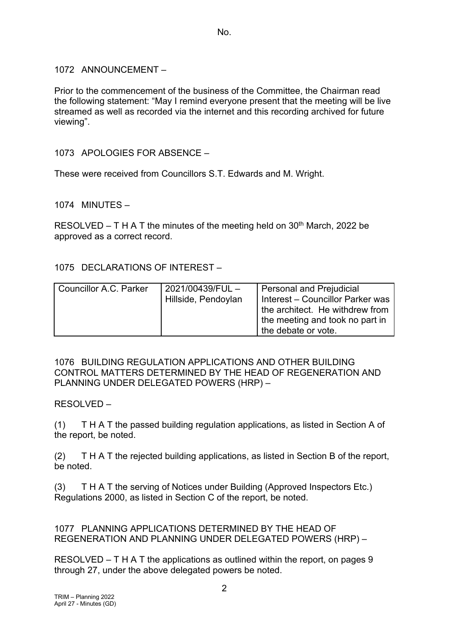1072 ANNOUNCEMENT –

Prior to the commencement of the business of the Committee, the Chairman read the following statement: "May I remind everyone present that the meeting will be live streamed as well as recorded via the internet and this recording archived for future viewing".

1073 APOLOGIES FOR ABSENCE –

These were received from Councillors S.T. Edwards and M. Wright.

1074 MINUTES –

RESOLVED – T H A T the minutes of the meeting held on  $30<sup>th</sup>$  March, 2022 be approved as a correct record.

1075 DECLARATIONS OF INTEREST –

| <b>Councillor A.C. Parker</b> | 2021/00439/FUL-<br>Hillside, Pendoylan | <b>Personal and Prejudicial</b><br>Interest - Councillor Parker was<br>the architect. He withdrew from<br>I the meeting and took no part in<br>the debate or vote. |
|-------------------------------|----------------------------------------|--------------------------------------------------------------------------------------------------------------------------------------------------------------------|
|-------------------------------|----------------------------------------|--------------------------------------------------------------------------------------------------------------------------------------------------------------------|

### 1076 BUILDING REGULATION APPLICATIONS AND OTHER BUILDING CONTROL MATTERS DETERMINED BY THE HEAD OF REGENERATION AND PLANNING UNDER DELEGATED POWERS (HRP) –

RESOLVED –

(1) T H A T the passed building regulation applications, as listed in Section A of the report, be noted.

(2) T H A T the rejected building applications, as listed in Section B of the report, be noted.

(3) T H A T the serving of Notices under Building (Approved Inspectors Etc.) Regulations 2000, as listed in Section C of the report, be noted.

1077 PLANNING APPLICATIONS DETERMINED BY THE HEAD OF REGENERATION AND PLANNING UNDER DELEGATED POWERS (HRP) –

RESOLVED – T H A T the applications as outlined within the report, on pages 9 through 27, under the above delegated powers be noted.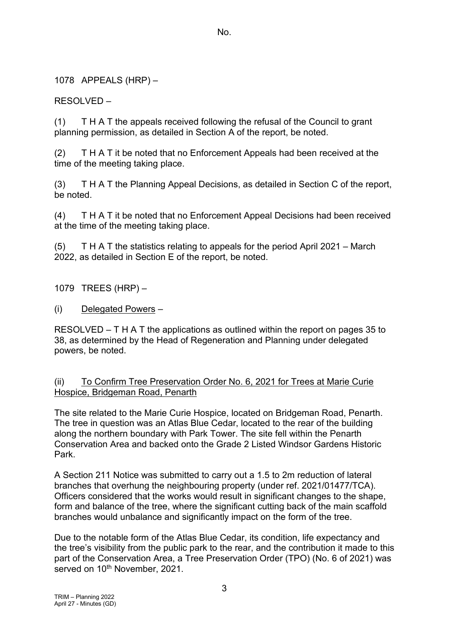1078 APPEALS (HRP) –

RESOLVED –

(1) T H A T the appeals received following the refusal of the Council to grant planning permission, as detailed in Section A of the report, be noted.

(2) T H A T it be noted that no Enforcement Appeals had been received at the time of the meeting taking place.

(3) T H A T the Planning Appeal Decisions, as detailed in Section C of the report, be noted.

(4) T H A T it be noted that no Enforcement Appeal Decisions had been received at the time of the meeting taking place.

(5) T H A T the statistics relating to appeals for the period April 2021 – March 2022, as detailed in Section E of the report, be noted.

1079 TREES (HRP) –

(i) Delegated Powers –

RESOLVED – T H A T the applications as outlined within the report on pages 35 to 38, as determined by the Head of Regeneration and Planning under delegated powers, be noted.

(ii) To Confirm Tree Preservation Order No. 6, 2021 for Trees at Marie Curie Hospice, Bridgeman Road, Penarth

The site related to the Marie Curie Hospice, located on Bridgeman Road, Penarth. The tree in question was an Atlas Blue Cedar, located to the rear of the building along the northern boundary with Park Tower. The site fell within the Penarth Conservation Area and backed onto the Grade 2 Listed Windsor Gardens Historic Park.

A Section 211 Notice was submitted to carry out a 1.5 to 2m reduction of lateral branches that overhung the neighbouring property (under ref. 2021/01477/TCA). Officers considered that the works would result in significant changes to the shape, form and balance of the tree, where the significant cutting back of the main scaffold branches would unbalance and significantly impact on the form of the tree.

Due to the notable form of the Atlas Blue Cedar, its condition, life expectancy and the tree's visibility from the public park to the rear, and the contribution it made to this part of the Conservation Area, a Tree Preservation Order (TPO) (No. 6 of 2021) was served on 10<sup>th</sup> November, 2021.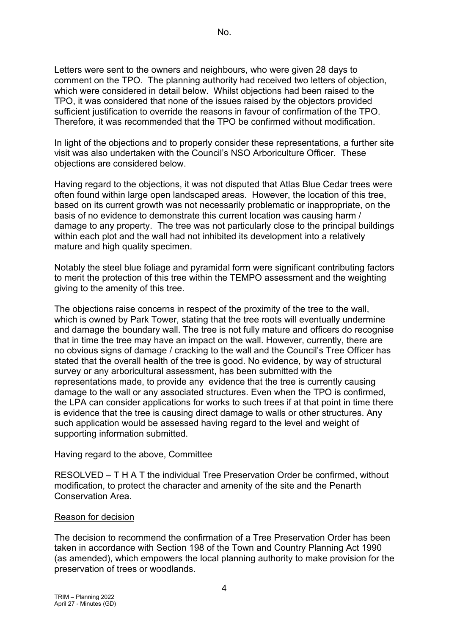Letters were sent to the owners and neighbours, who were given 28 days to comment on the TPO. The planning authority had received two letters of objection, which were considered in detail below. Whilst objections had been raised to the TPO, it was considered that none of the issues raised by the objectors provided sufficient justification to override the reasons in favour of confirmation of the TPO. Therefore, it was recommended that the TPO be confirmed without modification.

In light of the objections and to properly consider these representations, a further site visit was also undertaken with the Council's NSO Arboriculture Officer. These objections are considered below.

Having regard to the objections, it was not disputed that Atlas Blue Cedar trees were often found within large open landscaped areas. However, the location of this tree, based on its current growth was not necessarily problematic or inappropriate, on the basis of no evidence to demonstrate this current location was causing harm / damage to any property. The tree was not particularly close to the principal buildings within each plot and the wall had not inhibited its development into a relatively mature and high quality specimen.

Notably the steel blue foliage and pyramidal form were significant contributing factors to merit the protection of this tree within the TEMPO assessment and the weighting giving to the amenity of this tree.

The objections raise concerns in respect of the proximity of the tree to the wall, which is owned by Park Tower, stating that the tree roots will eventually undermine and damage the boundary wall. The tree is not fully mature and officers do recognise that in time the tree may have an impact on the wall. However, currently, there are no obvious signs of damage / cracking to the wall and the Council's Tree Officer has stated that the overall health of the tree is good. No evidence, by way of structural survey or any arboricultural assessment, has been submitted with the representations made, to provide any evidence that the tree is currently causing damage to the wall or any associated structures. Even when the TPO is confirmed, the LPA can consider applications for works to such trees if at that point in time there is evidence that the tree is causing direct damage to walls or other structures. Any such application would be assessed having regard to the level and weight of supporting information submitted.

### Having regard to the above, Committee

RESOLVED – T H A T the individual Tree Preservation Order be confirmed, without modification, to protect the character and amenity of the site and the Penarth Conservation Area.

### Reason for decision

The decision to recommend the confirmation of a Tree Preservation Order has been taken in accordance with Section 198 of the Town and Country Planning Act 1990 (as amended), which empowers the local planning authority to make provision for the preservation of trees or woodlands.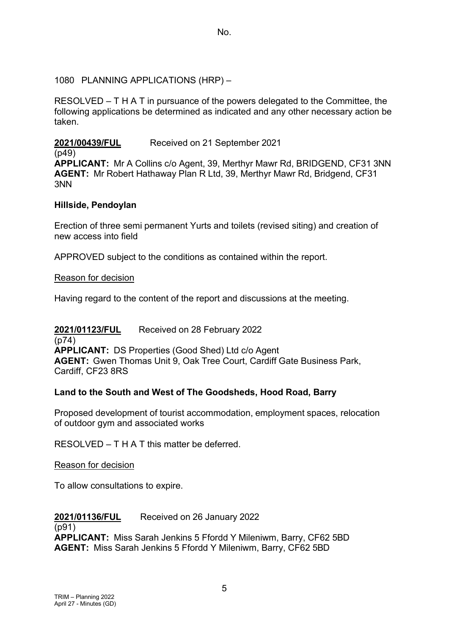### 1080 PLANNING APPLICATIONS (HRP) –

RESOLVED – T H A T in pursuance of the powers delegated to the Committee, the following applications be determined as indicated and any other necessary action be taken.

## **2021/00439/FUL** Received on 21 September 2021

(p49) **APPLICANT:** Mr A Collins c/o Agent, 39, Merthyr Mawr Rd, BRIDGEND, CF31 3NN **AGENT:** Mr Robert Hathaway Plan R Ltd, 39, Merthyr Mawr Rd, Bridgend, CF31 3NN

### **Hillside, Pendoylan**

Erection of three semi permanent Yurts and toilets (revised siting) and creation of new access into field

APPROVED subject to the conditions as contained within the report.

### Reason for decision

Having regard to the content of the report and discussions at the meeting.

### **2021/01123/FUL** Received on 28 February 2022 (p74) **APPLICANT:** DS Properties (Good Shed) Ltd c/o Agent **AGENT:** Gwen Thomas Unit 9, Oak Tree Court, Cardiff Gate Business Park, Cardiff, CF23 8RS

## **Land to the South and West of The Goodsheds, Hood Road, Barry**

Proposed development of tourist accommodation, employment spaces, relocation of outdoor gym and associated works

RESOLVED – T H A T this matter be deferred.

### Reason for decision

To allow consultations to expire.

## **2021/01136/FUL** Received on 26 January 2022

### (p91)

**APPLICANT:** Miss Sarah Jenkins 5 Ffordd Y Mileniwm, Barry, CF62 5BD **AGENT:** Miss Sarah Jenkins 5 Ffordd Y Mileniwm, Barry, CF62 5BD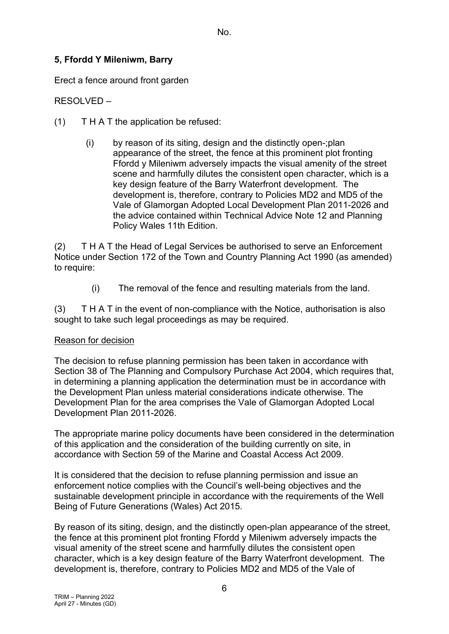# **5, Ffordd Y Mileniwm, Barry**

Erect a fence around front garden

RESOLVED –

- $(1)$  T H A T the application be refused:
	- (i) by reason of its siting, design and the distinctly open-;plan appearance of the street, the fence at this prominent plot fronting Ffordd y Mileniwm adversely impacts the visual amenity of the street scene and harmfully dilutes the consistent open character, which is a key design feature of the Barry Waterfront development. The development is, therefore, contrary to Policies MD2 and MD5 of the Vale of Glamorgan Adopted Local Development Plan 2011-2026 and the advice contained within Technical Advice Note 12 and Planning Policy Wales 11th Edition.

(2) T H A T the Head of Legal Services be authorised to serve an Enforcement Notice under Section 172 of the Town and Country Planning Act 1990 (as amended) to require:

(i) The removal of the fence and resulting materials from the land.

(3) T H A T in the event of non-compliance with the Notice, authorisation is also sought to take such legal proceedings as may be required.

### Reason for decision

The decision to refuse planning permission has been taken in accordance with Section 38 of The Planning and Compulsory Purchase Act 2004, which requires that, in determining a planning application the determination must be in accordance with the Development Plan unless material considerations indicate otherwise. The Development Plan for the area comprises the Vale of Glamorgan Adopted Local Development Plan 2011-2026.

The appropriate marine policy documents have been considered in the determination of this application and the consideration of the building currently on site, in accordance with Section 59 of the Marine and Coastal Access Act 2009.

It is considered that the decision to refuse planning permission and issue an enforcement notice complies with the Council's well-being objectives and the sustainable development principle in accordance with the requirements of the Well Being of Future Generations (Wales) Act 2015.

By reason of its siting, design, and the distinctly open-plan appearance of the street, the fence at this prominent plot fronting Ffordd y Mileniwm adversely impacts the visual amenity of the street scene and harmfully dilutes the consistent open character, which is a key design feature of the Barry Waterfront development. The development is, therefore, contrary to Policies MD2 and MD5 of the Vale of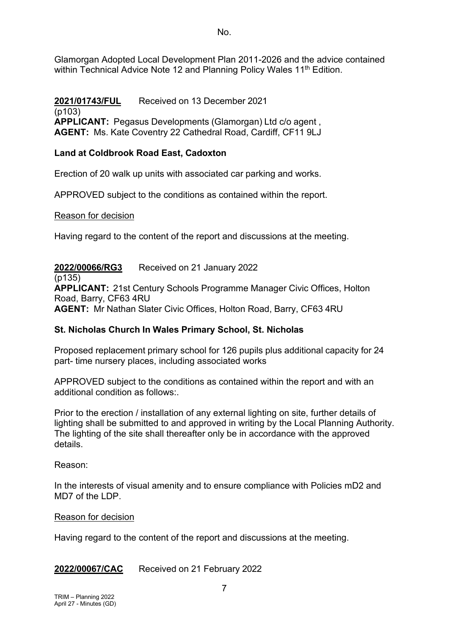Glamorgan Adopted Local Development Plan 2011-2026 and the advice contained within Technical Advice Note 12 and Planning Policy Wales 11<sup>th</sup> Edition.

**2021/01743/FUL** Received on 13 December 2021 (p103) **APPLICANT:** Pegasus Developments (Glamorgan) Ltd c/o agent , **AGENT:** Ms. Kate Coventry 22 Cathedral Road, Cardiff, CF11 9LJ

## **Land at Coldbrook Road East, Cadoxton**

Erection of 20 walk up units with associated car parking and works.

APPROVED subject to the conditions as contained within the report.

### Reason for decision

Having regard to the content of the report and discussions at the meeting.

**2022/00066/RG3** Received on 21 January 2022

 $(p135)$ 

**APPLICANT:** 21st Century Schools Programme Manager Civic Offices, Holton Road, Barry, CF63 4RU

**AGENT:** Mr Nathan Slater Civic Offices, Holton Road, Barry, CF63 4RU

## **St. Nicholas Church In Wales Primary School, St. Nicholas**

Proposed replacement primary school for 126 pupils plus additional capacity for 24 part- time nursery places, including associated works

APPROVED subject to the conditions as contained within the report and with an additional condition as follows:.

Prior to the erection / installation of any external lighting on site, further details of lighting shall be submitted to and approved in writing by the Local Planning Authority. The lighting of the site shall thereafter only be in accordance with the approved details.

Reason:

In the interests of visual amenity and to ensure compliance with Policies mD2 and MD7 of the LDP.

### Reason for decision

Having regard to the content of the report and discussions at the meeting.

**2022/00067/CAC** Received on 21 February 2022